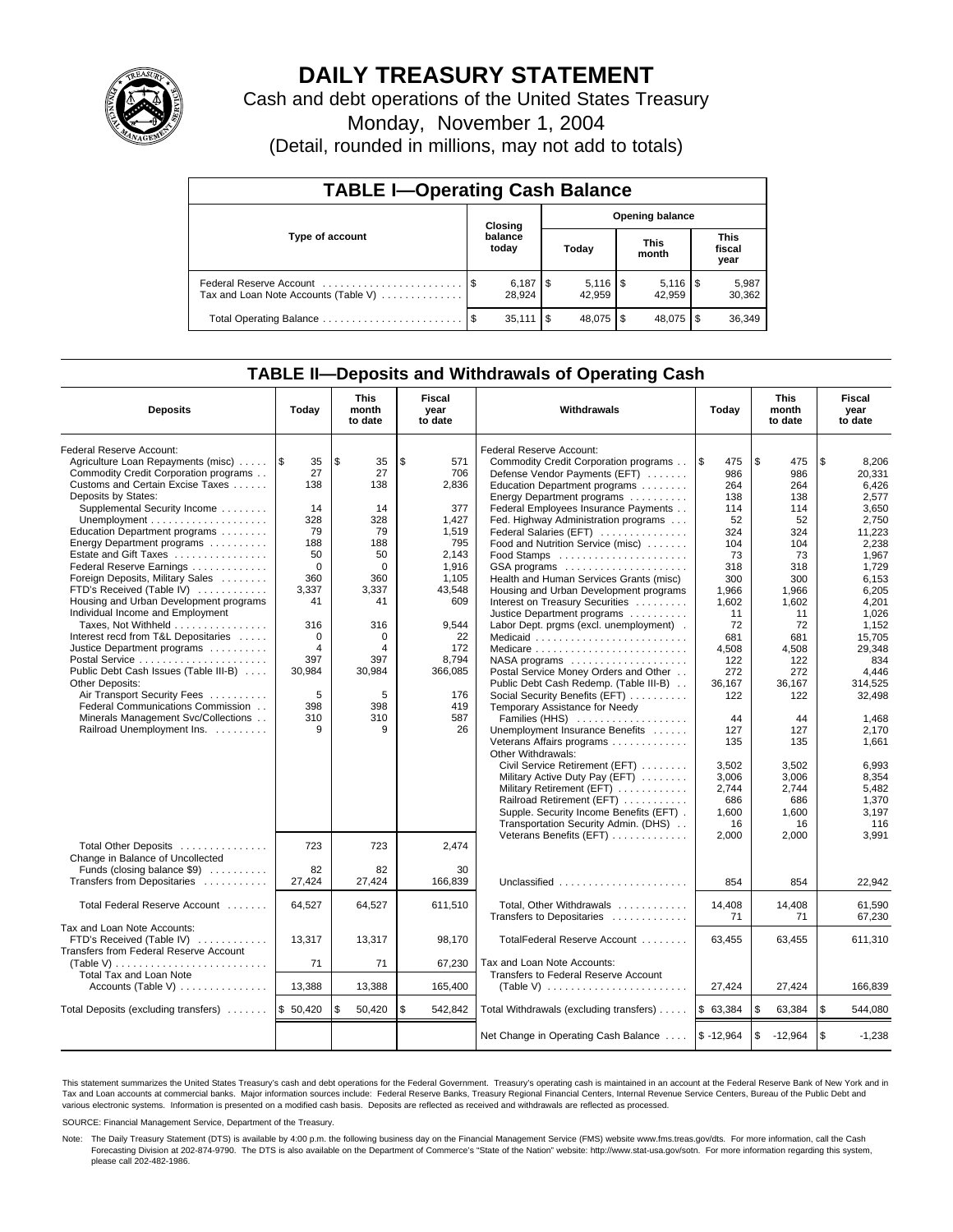

# **DAILY TREASURY STATEMENT**

Cash and debt operations of the United States Treasury

Monday, November 1, 2004

(Detail, rounded in millions, may not add to totals)

| <b>TABLE I-Operating Cash Balance</b>                           |  |                              |                        |                              |                      |            |                               |                 |  |
|-----------------------------------------------------------------|--|------------------------------|------------------------|------------------------------|----------------------|------------|-------------------------------|-----------------|--|
|                                                                 |  | Closing                      | <b>Opening balance</b> |                              |                      |            |                               |                 |  |
| Type of account                                                 |  | balance<br>today             | Today                  |                              | <b>This</b><br>month |            | <b>This</b><br>fiscal<br>year |                 |  |
| Federal Reserve Account<br>Tax and Loan Note Accounts (Table V) |  | $6,187$ $\sqrt{5}$<br>28.924 |                        | $5,116$ $\sqrt{5}$<br>42.959 |                      | 42.959     |                               | 5,987<br>30,362 |  |
|                                                                 |  | $35.111$ S                   |                        | 48.075 \$                    |                      | 48.075 \\$ |                               | 36,349          |  |

## **TABLE II—Deposits and Withdrawals of Operating Cash**

| <b>Deposits</b>                                                                                                                             | Today                                       | <b>This</b><br>month<br>to date | Fiscal<br>year<br>to date   | <b>Withdrawals</b>                                                                                                                                                                                            | Today                                         | <b>This</b><br>month<br>to date               | Fiscal<br>year<br>to date                        |
|---------------------------------------------------------------------------------------------------------------------------------------------|---------------------------------------------|---------------------------------|-----------------------------|---------------------------------------------------------------------------------------------------------------------------------------------------------------------------------------------------------------|-----------------------------------------------|-----------------------------------------------|--------------------------------------------------|
| Federal Reserve Account:<br>Agriculture Loan Repayments (misc)<br>Commodity Credit Corporation programs<br>Customs and Certain Excise Taxes | 1\$<br>35<br>27<br>138                      | \$<br>35<br>27<br>138           | \$<br>571<br>706<br>2,836   | Federal Reserve Account:<br>Commodity Credit Corporation programs<br>Defense Vendor Payments (EFT)                                                                                                            | l \$<br>475<br>986<br>264                     | \$<br>475<br>986<br>264                       | \$<br>8,206<br>20,331<br>6,426                   |
| Deposits by States:<br>Supplemental Security Income                                                                                         | 14<br>328<br>79                             | 14<br>328<br>79                 | 377<br>1.427<br>1.519       | Education Department programs<br>Energy Department programs<br>Federal Employees Insurance Payments<br>Fed. Highway Administration programs                                                                   | 138<br>114<br>52                              | 138<br>114<br>52                              | 2,577<br>3.650<br>2.750                          |
| Education Department programs<br>Energy Department programs<br>Estate and Gift Taxes<br>Federal Reserve Earnings                            | 188<br>50<br>$\mathbf 0$                    | 188<br>50<br>$\mathbf 0$        | 795<br>2.143<br>1,916       | Federal Salaries (EFT)<br>Food and Nutrition Service (misc)<br>GSA programs                                                                                                                                   | 324<br>104<br>73<br>318                       | 324<br>104<br>73<br>318                       | 11,223<br>2,238<br>1,967<br>1,729                |
| Foreign Deposits, Military Sales<br>FTD's Received (Table IV)<br>Housing and Urban Development programs<br>Individual Income and Employment | 360<br>3,337<br>41                          | 360<br>3,337<br>41              | 1,105<br>43,548<br>609      | Health and Human Services Grants (misc)<br>Housing and Urban Development programs<br>Interest on Treasury Securities<br>Justice Department programs                                                           | 300<br>1,966<br>1,602<br>11                   | 300<br>1,966<br>1,602<br>11                   | 6,153<br>6,205<br>4,201<br>1,026                 |
| Taxes, Not Withheld<br>Interest recd from T&L Depositaries<br>Justice Department programs                                                   | 316<br>$\mathbf 0$<br>$\overline{4}$<br>397 | 316<br>0<br>4<br>397            | 9,544<br>22<br>172<br>8.794 | Labor Dept. prgms (excl. unemployment).<br>Medicare<br>$NASA$ programs $\ldots \ldots \ldots \ldots \ldots$                                                                                                   | 72<br>681<br>4,508<br>122                     | 72<br>681<br>4,508<br>122                     | 1.152<br>15.705<br>29.348<br>834                 |
| Public Debt Cash Issues (Table III-B)<br><b>Other Deposits:</b><br>Air Transport Security Fees<br>Federal Communications Commission         | 30,984<br>5<br>398                          | 30,984<br>5<br>398              | 366,085<br>176<br>419       | Postal Service Money Orders and Other<br>Public Debt Cash Redemp. (Table III-B)<br>Social Security Benefits (EFT)<br>Temporary Assistance for Needy                                                           | 272<br>36.167<br>122                          | 272<br>36.167<br>122                          | 4.446<br>314,525<br>32,498                       |
| Minerals Management Svc/Collections<br>Railroad Unemployment Ins.                                                                           | 310<br>9                                    | 310<br>9                        | 587<br>26                   | Families (HHS)<br>Unemployment Insurance Benefits<br>Veterans Affairs programs<br>Other Withdrawals:                                                                                                          | 44<br>127<br>135                              | 44<br>127<br>135                              | 1.468<br>2.170<br>1.661                          |
|                                                                                                                                             |                                             |                                 |                             | Civil Service Retirement (EFT)<br>Military Active Duty Pay (EFT)<br>Military Retirement (EFT)<br>Railroad Retirement (EFT)<br>Supple. Security Income Benefits (EFT).<br>Transportation Security Admin. (DHS) | 3.502<br>3,006<br>2,744<br>686<br>1,600<br>16 | 3.502<br>3.006<br>2,744<br>686<br>1,600<br>16 | 6.993<br>8,354<br>5,482<br>1,370<br>3,197<br>116 |
| Total Other Deposits<br>Change in Balance of Uncollected                                                                                    | 723                                         | 723                             | 2.474                       | Veterans Benefits (EFT)                                                                                                                                                                                       | 2,000                                         | 2.000                                         | 3.991                                            |
| Funds (closing balance \$9)<br>Transfers from Depositaries                                                                                  | 82<br>27,424                                | 82<br>27,424                    | 30<br>166,839               | Unclassified                                                                                                                                                                                                  | 854                                           | 854                                           | 22,942                                           |
| Total Federal Reserve Account                                                                                                               | 64,527                                      | 64,527                          | 611,510                     | Total, Other Withdrawals<br>Transfers to Depositaries                                                                                                                                                         | 14,408<br>71                                  | 14,408<br>71                                  | 61,590<br>67,230                                 |
| Tax and Loan Note Accounts:<br>FTD's Received (Table IV)<br><b>Transfers from Federal Reserve Account</b>                                   | 13.317                                      | 13.317                          | 98.170                      | TotalFederal Reserve Account                                                                                                                                                                                  | 63.455                                        | 63.455                                        | 611.310                                          |
| Total Tax and Loan Note<br>Accounts (Table V)                                                                                               | 71<br>13,388                                | 71<br>13,388                    | 67,230<br>165,400           | Tax and Loan Note Accounts:<br>Transfers to Federal Reserve Account<br>(Table V) $\ldots \ldots \ldots \ldots \ldots \ldots \ldots$                                                                           | 27,424                                        | 27,424                                        | 166,839                                          |
| Total Deposits (excluding transfers)  \$ 50,420                                                                                             |                                             | 50,420<br>\$                    | \$<br>542,842               | Total Withdrawals (excluding transfers)                                                                                                                                                                       | \$63,384                                      | \$<br>63,384                                  | \$<br>544,080                                    |
|                                                                                                                                             |                                             |                                 |                             | Net Change in Operating Cash Balance                                                                                                                                                                          | $$ -12,964$                                   | \$<br>$-12,964$                               | \$<br>$-1,238$                                   |

This statement summarizes the United States Treasury's cash and debt operations for the Federal Government. Treasury's operating cash is maintained in an account at the Federal Reserve Bank of New York and in Tax and Loan accounts at commercial banks. Major information sources include: Federal Reserve Banks, Treasury Regional Financial Centers, Internal Revenue Service Centers, Bureau of the Public Debt and<br>various electronic s

SOURCE: Financial Management Service, Department of the Treasury.

Note: The Daily Treasury Statement (DTS) is available by 4:00 p.m. the following business day on the Financial Management Service (FMS) website www.fms.treas.gov/dts. For more information, call the Cash Forecasting Division at 202-874-9790. The DTS is also available on the Department of Commerce's "State of the Nation" website: http://www.stat-usa.gov/sotn. For more information regarding this system, please call 202-482-1986.